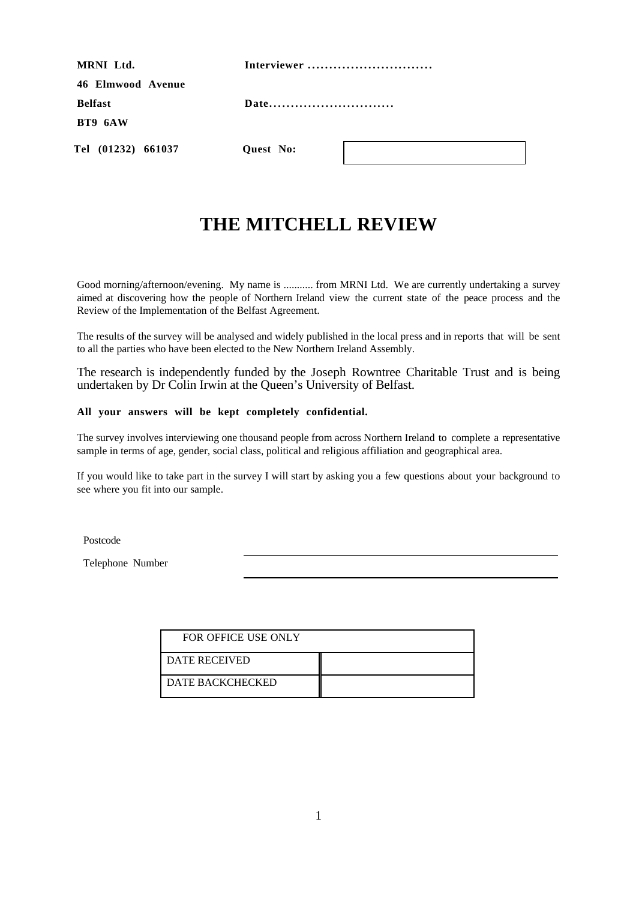| MRNI Ltd.          | Interviewer      |
|--------------------|------------------|
| 46 Elmwood Avenue  |                  |
| <b>Belfast</b>     | Date             |
| BT9 6AW            |                  |
| Tel (01232) 661037 | <b>Ouest</b> No: |

# **THE MITCHELL REVIEW**

Good morning/afternoon/evening. My name is ........... from MRNI Ltd. We are currently undertaking a survey aimed at discovering how the people of Northern Ireland view the current state of the peace process and the Review of the Implementation of the Belfast Agreement.

The results of the survey will be analysed and widely published in the local press and in reports that will be sent to all the parties who have been elected to the New Northern Ireland Assembly.

The research is independently funded by the Joseph Rowntree Charitable Trust and is being undertaken by Dr Colin Irwin at the Queen's University of Belfast.

#### **All your answers will be kept completely confidential.**

The survey involves interviewing one thousand people from across Northern Ireland to complete a representative sample in terms of age, gender, social class, political and religious affiliation and geographical area.

If you would like to take part in the survey I will start by asking you a few questions about your background to see where you fit into our sample.

Postcode **Postcode Postcode Postcode Postcode Postcode Postcode Postcode Postcode Postcode Postcode Postcode Postcode Postcode Postcode Postcode Postcode Postcode Postcode Postcode Pos** 

Telephone Number

| FOR OFFICE USE ONLY     |  |
|-------------------------|--|
| <b>DATE RECEIVED</b>    |  |
| <b>DATE BACKCHECKED</b> |  |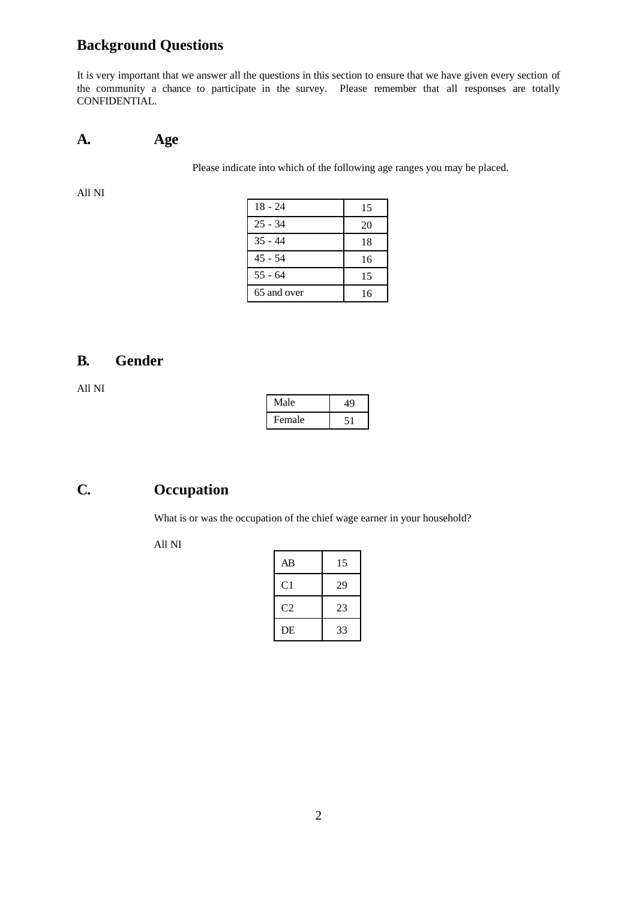# **Background Questions**

It is very important that we answer all the questions in this section to ensure that we have given every section of the community a chance to participate in the survey. Please remember that all responses are totally CONFIDENTIAL.

#### **A. Age**

Please indicate into which of the following age ranges you may be placed.

All NI

| $18 - 24$   | 15 |
|-------------|----|
| $25 - 34$   | 20 |
| $35 - 44$   | 18 |
| $45 - 54$   | 16 |
| $55 - 64$   | 15 |
| 65 and over | 16 |

## **B. Gender**

All NI

| Male   |  |
|--------|--|
| Female |  |

#### **C. Occupation**

What is or was the occupation of the chief wage earner in your household?

| AВ | 15 |
|----|----|
| C1 | 29 |
| C2 | 23 |
| DE | 33 |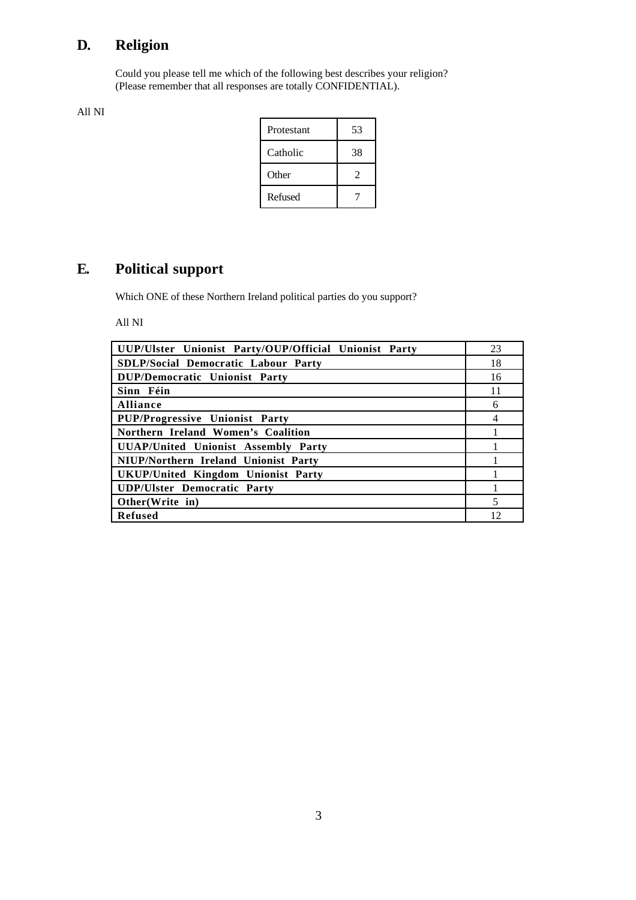# **D. Religion**

Could you please tell me which of the following best describes your religion? (Please remember that all responses are totally CONFIDENTIAL).

All NI

| Protestant | 53 |
|------------|----|
| Catholic   | 38 |
| Other      | 2  |
| Refused    |    |

# **E. Political support**

Which ONE of these Northern Ireland political parties do you support?

| UUP/Ulster Unionist Party/OUP/Official Unionist Party | 23 |
|-------------------------------------------------------|----|
| SDLP/Social Democratic Labour Party                   | 18 |
| DUP/Democratic Unionist Party                         | 16 |
| Sinn Féin                                             | 11 |
| Alliance                                              | 6  |
| PUP/Progressive Unionist Party                        |    |
| Northern Ireland Women's Coalition                    |    |
| UUAP/United Unionist Assembly Party                   |    |
| NIUP/Northern Ireland Unionist Party                  |    |
| UKUP/United Kingdom Unionist Party                    |    |
| <b>UDP/Ulster Democratic Party</b>                    |    |
| Other(Write in)                                       | 5  |
| <b>Refused</b>                                        | 12 |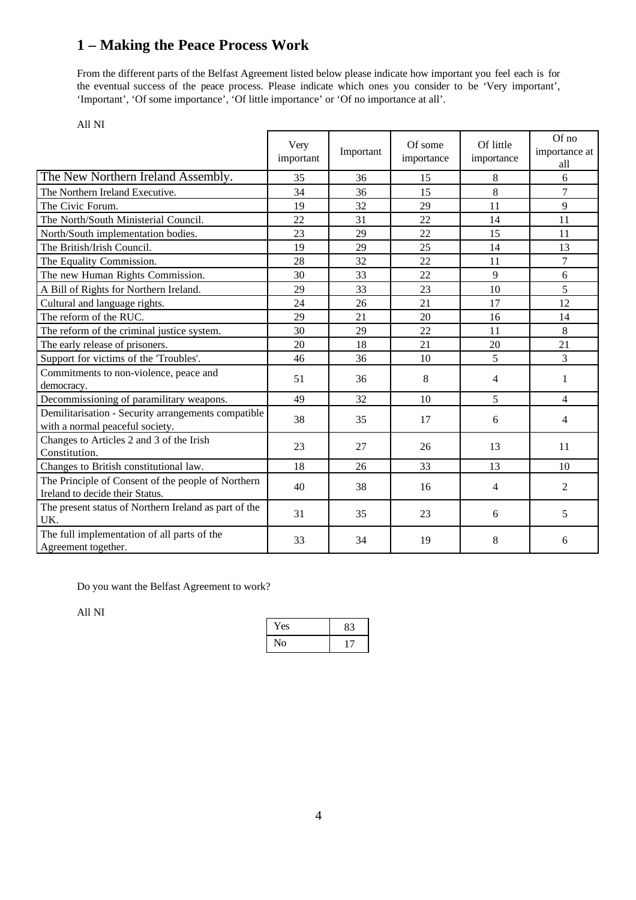# **1 – Making the Peace Process Work**

From the different parts of the Belfast Agreement listed below please indicate how important you feel each is for the eventual success of the peace process. Please indicate which ones you consider to be 'Very important', 'Important', 'Of some importance', 'Of little importance' or 'Of no importance at all'.

|                                                                                        | Very<br>important | Important | Of some<br>importance | Of little<br>importance | Of no<br>importance at<br>all |
|----------------------------------------------------------------------------------------|-------------------|-----------|-----------------------|-------------------------|-------------------------------|
| The New Northern Ireland Assembly.                                                     | 35                | 36        | 15                    | 8                       | 6                             |
| The Northern Ireland Executive.                                                        | 34                | 36        | 15                    | 8                       | $\overline{7}$                |
| The Civic Forum.                                                                       | 19                | 32        | 29                    | 11                      | 9                             |
| The North/South Ministerial Council.                                                   | 22                | 31        | 22                    | 14                      | 11                            |
| North/South implementation bodies.                                                     | 23                | 29        | 22                    | 15                      | 11                            |
| The British/Irish Council.                                                             | 19                | 29        | 25                    | 14                      | 13                            |
| The Equality Commission.                                                               | 28                | 32        | 22                    | 11                      | $\tau$                        |
| The new Human Rights Commission.                                                       | 30                | 33        | 22                    | 9                       | 6                             |
| A Bill of Rights for Northern Ireland.                                                 | 29                | 33        | 23                    | 10                      | 5                             |
| Cultural and language rights.                                                          | 24                | 26        | 21                    | 17                      | 12                            |
| The reform of the RUC.                                                                 | 29                | 21        | 20                    | 16                      | 14                            |
| The reform of the criminal justice system.                                             | 30                | 29        | 22                    | 11                      | 8                             |
| The early release of prisoners.                                                        | 20                | 18        | 21                    | 20                      | 21                            |
| Support for victims of the 'Troubles'.                                                 | 46                | 36        | 10                    | 5                       | 3                             |
| Commitments to non-violence, peace and<br>democracy.                                   | 51                | 36        | 8                     | $\overline{4}$          | 1                             |
| Decommissioning of paramilitary weapons.                                               | 49                | 32        | 10                    | 5                       | 4                             |
| Demilitarisation - Security arrangements compatible<br>with a normal peaceful society. | 38                | 35        | 17                    | 6                       | 4                             |
| Changes to Articles 2 and 3 of the Irish<br>Constitution.                              | 23                | 27        | 26                    | 13                      | 11                            |
| Changes to British constitutional law.                                                 | 18                | 26        | 33                    | 13                      | 10                            |
| The Principle of Consent of the people of Northern<br>Ireland to decide their Status.  | 40                | 38        | 16                    | 4                       | $\overline{2}$                |
| The present status of Northern Ireland as part of the<br>UK.                           | 31                | 35        | 23                    | 6                       | 5                             |
| The full implementation of all parts of the<br>Agreement together.                     | 33                | 34        | 19                    | 8                       | 6                             |

All NI

Do you want the Belfast Agreement to work?

| Yes            |  |
|----------------|--|
| $\overline{O}$ |  |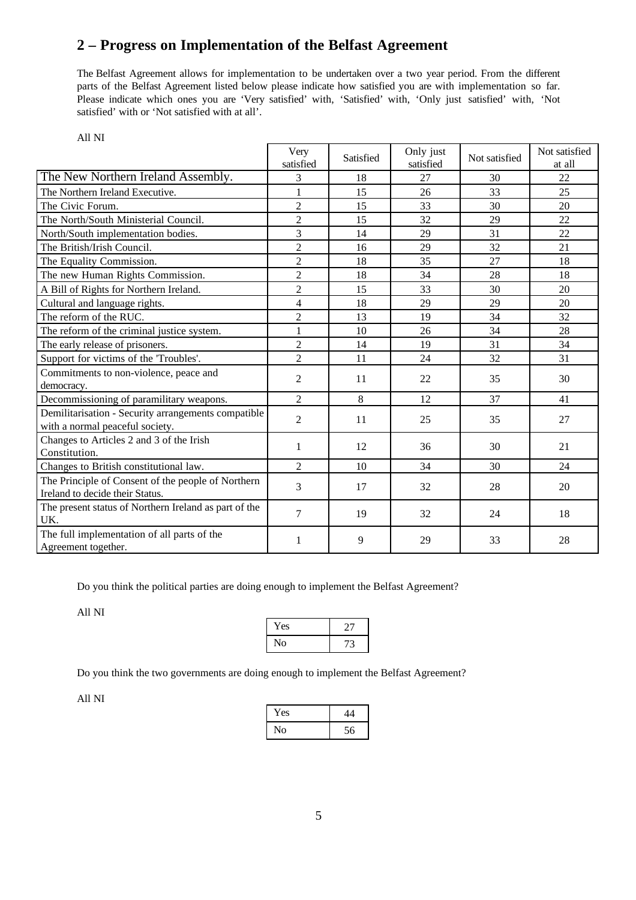# **2 – Progress on Implementation of the Belfast Agreement**

The Belfast Agreement allows for implementation to be undertaken over a two year period. From the different parts of the Belfast Agreement listed below please indicate how satisfied you are with implementation so far. Please indicate which ones you are 'Very satisfied' with, 'Satisfied' with, 'Only just satisfied' with, 'Not satisfied' with or 'Not satisfied with at all'.

| All NI                                                                                 |                   |           |                        |               |                         |
|----------------------------------------------------------------------------------------|-------------------|-----------|------------------------|---------------|-------------------------|
|                                                                                        | Very<br>satisfied | Satisfied | Only just<br>satisfied | Not satisfied | Not satisfied<br>at all |
| The New Northern Ireland Assembly.                                                     | 3                 | 18        | 27                     | 30            | 22                      |
| The Northern Ireland Executive.                                                        | 1                 | 15        | 26                     | 33            | 25                      |
| The Civic Forum.                                                                       | $\overline{2}$    | 15        | 33                     | 30            | 20                      |
| The North/South Ministerial Council.                                                   | $\overline{2}$    | 15        | 32                     | 29            | 22                      |
| North/South implementation bodies.                                                     | 3                 | 14        | 29                     | 31            | 22                      |
| The British/Irish Council.                                                             | $\overline{2}$    | 16        | 29                     | 32            | 21                      |
| The Equality Commission.                                                               | $\overline{2}$    | 18        | 35                     | 27            | 18                      |
| The new Human Rights Commission.                                                       | $\overline{2}$    | 18        | 34                     | 28            | 18                      |
| A Bill of Rights for Northern Ireland.                                                 | $\overline{2}$    | 15        | 33                     | 30            | 20                      |
| Cultural and language rights.                                                          | $\overline{4}$    | 18        | 29                     | 29            | 20                      |
| The reform of the RUC.                                                                 | $\overline{2}$    | 13        | 19                     | 34            | 32                      |
| The reform of the criminal justice system.                                             | $\mathbf{1}$      | 10        | 26                     | 34            | 28                      |
| The early release of prisoners.                                                        | $\overline{2}$    | 14        | 19                     | 31            | 34                      |
| Support for victims of the 'Troubles'.                                                 | $\overline{2}$    | 11        | 24                     | 32            | 31                      |
| Commitments to non-violence, peace and<br>democracy.                                   | $\overline{2}$    | 11        | 22                     | 35            | 30                      |
| Decommissioning of paramilitary weapons.                                               | $\overline{2}$    | 8         | 12                     | 37            | 41                      |
| Demilitarisation - Security arrangements compatible<br>with a normal peaceful society. | $\overline{2}$    | 11        | 25                     | 35            | 27                      |
| Changes to Articles 2 and 3 of the Irish<br>Constitution.                              | 1                 | 12        | 36                     | 30            | 21                      |
| Changes to British constitutional law.                                                 | 2                 | 10        | 34                     | 30            | 24                      |
| The Principle of Consent of the people of Northern<br>Ireland to decide their Status.  | 3                 | 17        | 32                     | 28            | 20                      |
| The present status of Northern Ireland as part of the<br>UK.                           | 7                 | 19        | 32                     | 24            | 18                      |
| The full implementation of all parts of the<br>Agreement together.                     | 1                 | 9         | 29                     | 33            | 28                      |

Do you think the political parties are doing enough to implement the Belfast Agreement?

All NI

| Yes | $\cdot$ r |
|-----|-----------|
| No  | 72        |

Do you think the two governments are doing enough to implement the Belfast Agreement?

| Yes |    |
|-----|----|
| No  | 56 |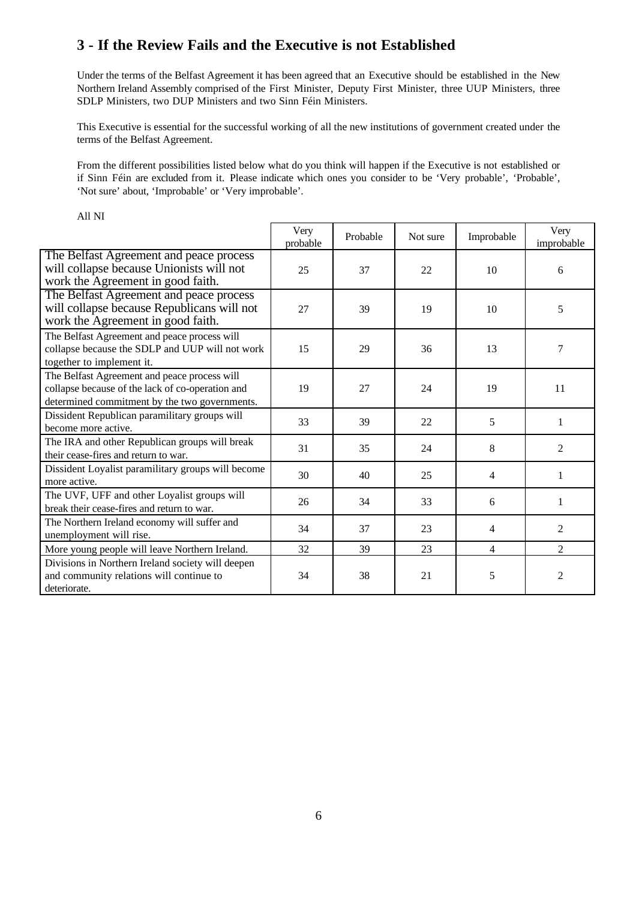### **3 - If the Review Fails and the Executive is not Established**

Under the terms of the Belfast Agreement it has been agreed that an Executive should be established in the New Northern Ireland Assembly comprised of the First Minister, Deputy First Minister, three UUP Ministers, three SDLP Ministers, two DUP Ministers and two Sinn Féin Ministers.

This Executive is essential for the successful working of all the new institutions of government created under the terms of the Belfast Agreement.

From the different possibilities listed below what do you think will happen if the Executive is not established or if Sinn Féin are excluded from it. Please indicate which ones you consider to be 'Very probable', 'Probable', 'Not sure' about, 'Improbable' or 'Very improbable'.

|                                                                                                                                                   | Very<br>probable | Probable | Not sure | Improbable     | Very<br>improbable |
|---------------------------------------------------------------------------------------------------------------------------------------------------|------------------|----------|----------|----------------|--------------------|
| The Belfast Agreement and peace process<br>will collapse because Unionists will not<br>work the Agreement in good faith.                          | 25               | 37       | 22       | 10             | 6                  |
| The Belfast Agreement and peace process<br>will collapse because Republicans will not<br>work the Agreement in good faith.                        | 27               | 39       | 19       | 10             | 5                  |
| The Belfast Agreement and peace process will<br>collapse because the SDLP and UUP will not work<br>together to implement it.                      | 15               | 29       | 36       | 13             | 7                  |
| The Belfast Agreement and peace process will<br>collapse because of the lack of co-operation and<br>determined commitment by the two governments. | 19               | 27       | 24       | 19             | 11                 |
| Dissident Republican paramilitary groups will<br>become more active.                                                                              | 33               | 39       | 22       | 5              | 1                  |
| The IRA and other Republican groups will break<br>their cease-fires and return to war.                                                            | 31               | 35       | 24       | 8              | 2                  |
| Dissident Loyalist paramilitary groups will become<br>more active.                                                                                | 30               | 40       | 25       | $\overline{4}$ | 1                  |
| The UVF, UFF and other Loyalist groups will<br>break their cease-fires and return to war.                                                         | 26               | 34       | 33       | 6              | 1                  |
| The Northern Ireland economy will suffer and<br>unemployment will rise.                                                                           | 34               | 37       | 23       | 4              | 2                  |
| More young people will leave Northern Ireland.                                                                                                    | 32               | 39       | 23       | $\overline{4}$ | $\overline{2}$     |
| Divisions in Northern Ireland society will deepen<br>and community relations will continue to<br>deteriorate.                                     | 34               | 38       | 21       | 5              | 2                  |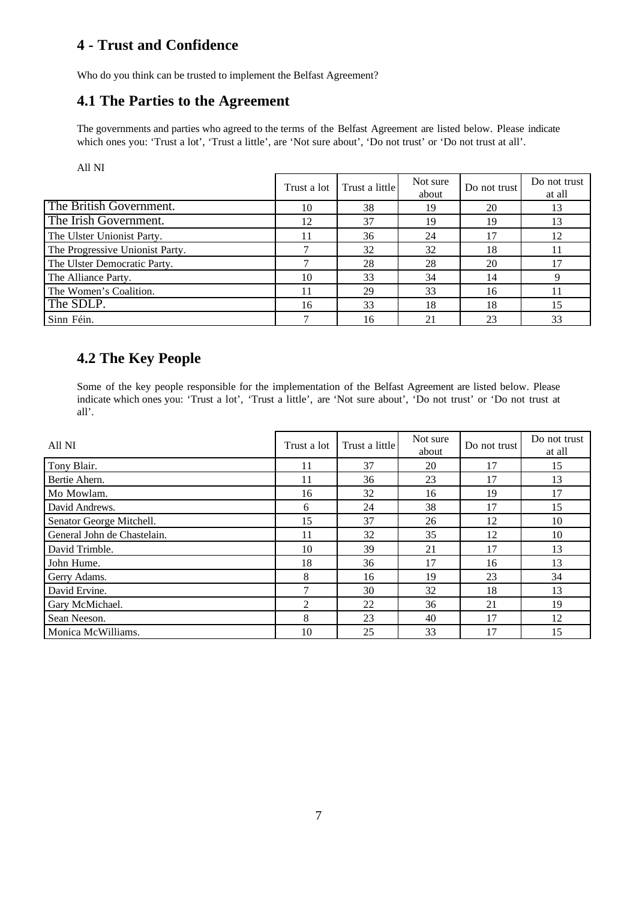## **4 - Trust and Confidence**

Who do you think can be trusted to implement the Belfast Agreement?

#### **4.1 The Parties to the Agreement**

The governments and parties who agreed to the terms of the Belfast Agreement are listed below. Please indicate which ones you: 'Trust a lot', 'Trust a little', are 'Not sure about', 'Do not trust' or 'Do not trust at all'.

All NI

|                                 | Trust a lot | Trust a little | Not sure<br>about | Do not trust | Do not trust<br>at all |
|---------------------------------|-------------|----------------|-------------------|--------------|------------------------|
| The British Government.         | 10          | 38             | 19                | 20           | 13                     |
| The Irish Government.           | 12          | 37             | 19                | 19           | 13                     |
| The Ulster Unionist Party.      | l 1         | 36             | 24                |              | 12                     |
| The Progressive Unionist Party. |             | 32             | 32                | 18           | 11                     |
| The Ulster Democratic Party.    |             | 28             | 28                | 20           | 17                     |
| The Alliance Party.             | 10          | 33             | 34                | 14           |                        |
| The Women's Coalition.          | 11          | 29             | 33                | 16           |                        |
| The SDLP.                       | 16          | 33             | 18                | 18           | 15                     |
| Sinn Féin.                      |             | 16             | 21                | 23           | 33                     |

## **4.2 The Key People**

Some of the key people responsible for the implementation of the Belfast Agreement are listed below. Please indicate which ones you: 'Trust a lot', 'Trust a little', are 'Not sure about', 'Do not trust' or 'Do not trust at all'.

| All NI                      | Trust a lot | Trust a little | Not sure<br>about | Do not trust | Do not trust<br>at all |
|-----------------------------|-------------|----------------|-------------------|--------------|------------------------|
| Tony Blair.                 | 11          | 37             | 20                | 17           | 15                     |
| Bertie Ahern.               | 11          | 36             | 23                | 17           | 13                     |
| Mo Mowlam.                  | 16          | 32             | 16                | 19           | 17                     |
| David Andrews.              | 6           | 24             | 38                | 17           | 15                     |
| Senator George Mitchell.    | 15          | 37             | 26                | 12           | 10                     |
| General John de Chastelain. | 11          | 32             | 35                | 12           | 10                     |
| David Trimble.              | 10          | 39             | 21                | 17           | 13                     |
| John Hume.                  | 18          | 36             | 17                | 16           | 13                     |
| Gerry Adams.                | 8           | 16             | 19                | 23           | 34                     |
| David Ervine.               | ⇁           | 30             | 32                | 18           | 13                     |
| Gary McMichael.             | 2           | 22             | 36                | 21           | 19                     |
| Sean Neeson.                | 8           | 23             | 40                | 17           | 12                     |
| Monica McWilliams.          | 10          | 25             | 33                | 17           | 15                     |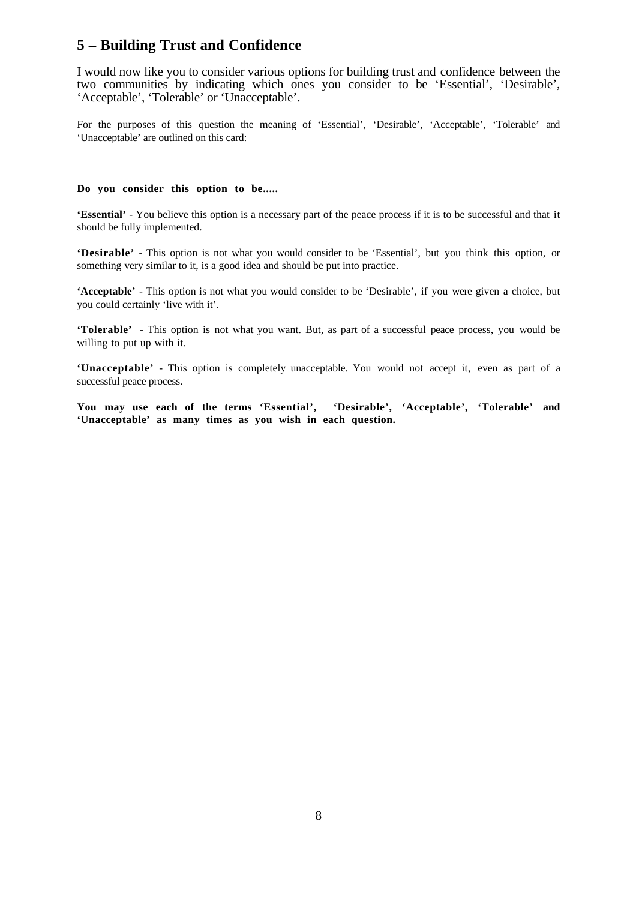#### **5 – Building Trust and Confidence**

I would now like you to consider various options for building trust and confidence between the two communities by indicating which ones you consider to be 'Essential', 'Desirable', 'Acceptable', 'Tolerable' or 'Unacceptable'.

For the purposes of this question the meaning of 'Essential', 'Desirable', 'Acceptable', 'Tolerable' and 'Unacceptable' are outlined on this card:

#### **Do you consider this option to be.....**

**'Essential'** - You believe this option is a necessary part of the peace process if it is to be successful and that it should be fully implemented.

**'Desirable'** - This option is not what you would consider to be 'Essential', but you think this option, or something very similar to it, is a good idea and should be put into practice.

**'Acceptable'** - This option is not what you would consider to be 'Desirable', if you were given a choice, but you could certainly 'live with it'.

**'Tolerable'** - This option is not what you want. But, as part of a successful peace process, you would be willing to put up with it.

**'Unacceptable'** - This option is completely unacceptable. You would not accept it, even as part of a successful peace process.

**You may use each of the terms 'Essential', 'Desirable', 'Acceptable', 'Tolerable' and 'Unacceptable' as many times as you wish in each question.**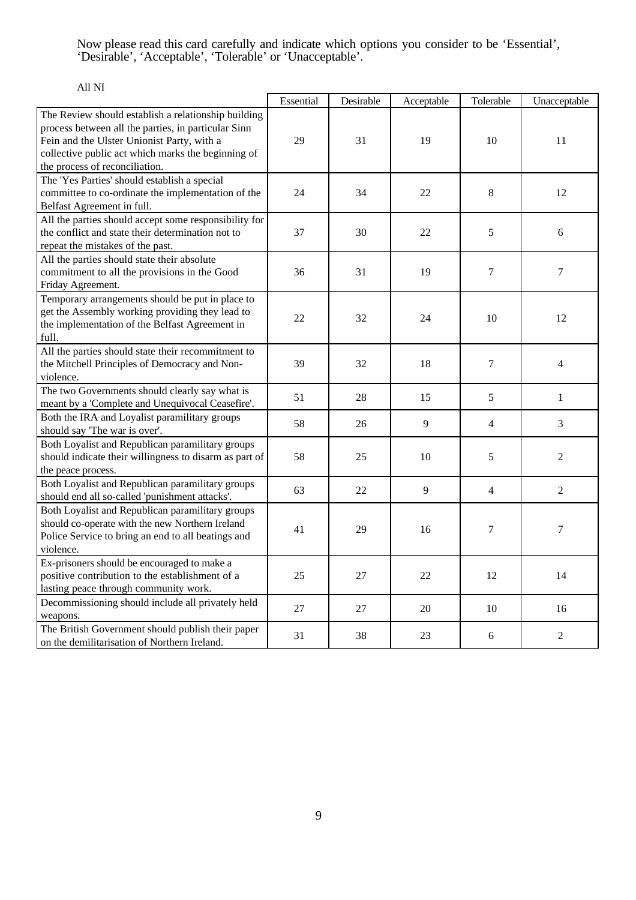Now please read this card carefully and indicate which options you consider to be 'Essential', 'Desirable', 'Acceptable', 'Tolerable' or 'Unacceptable'.

|                                                                                                                                                                                                                                                  | Essential | Desirable | Acceptable | Tolerable                | Unacceptable   |
|--------------------------------------------------------------------------------------------------------------------------------------------------------------------------------------------------------------------------------------------------|-----------|-----------|------------|--------------------------|----------------|
| The Review should establish a relationship building<br>process between all the parties, in particular Sinn<br>Fein and the Ulster Unionist Party, with a<br>collective public act which marks the beginning of<br>the process of reconciliation. | 29        | 31        | 19         | 10                       | 11             |
| The 'Yes Parties' should establish a special<br>committee to co-ordinate the implementation of the<br>Belfast Agreement in full.                                                                                                                 | 24        | 34        | 22         | 8                        | 12             |
| All the parties should accept some responsibility for<br>the conflict and state their determination not to<br>repeat the mistakes of the past.                                                                                                   | 37        | 30        | 22         | 5                        | 6              |
| All the parties should state their absolute<br>commitment to all the provisions in the Good<br>Friday Agreement.                                                                                                                                 | 36        | 31        | 19         | $\tau$                   | $\tau$         |
| Temporary arrangements should be put in place to<br>get the Assembly working providing they lead to<br>the implementation of the Belfast Agreement in<br>full.                                                                                   | 22        | 32        | 24         | 10                       | 12             |
| All the parties should state their recommitment to<br>the Mitchell Principles of Democracy and Non-<br>violence.                                                                                                                                 | 39        | 32        | 18         | $\tau$                   | $\overline{4}$ |
| The two Governments should clearly say what is<br>meant by a 'Complete and Unequivocal Ceasefire'.                                                                                                                                               | 51        | 28        | 15         | 5                        | $\mathbf{1}$   |
| Both the IRA and Loyalist paramilitary groups<br>should say 'The war is over'.                                                                                                                                                                   | 58        | 26        | 9          | $\overline{4}$           | 3              |
| Both Loyalist and Republican paramilitary groups<br>should indicate their willingness to disarm as part of<br>the peace process.                                                                                                                 | 58        | 25        | 10         | 5                        | $\overline{2}$ |
| Both Loyalist and Republican paramilitary groups<br>should end all so-called 'punishment attacks'.                                                                                                                                               | 63        | 22        | 9          | $\overline{\mathcal{A}}$ | $\overline{2}$ |
| Both Loyalist and Republican paramilitary groups<br>should co-operate with the new Northern Ireland<br>Police Service to bring an end to all beatings and<br>violence.                                                                           | 41        | 29        | 16         | $\tau$                   | $\tau$         |
| Ex-prisoners should be encouraged to make a<br>positive contribution to the establishment of a<br>lasting peace through community work.                                                                                                          | 25        | 27        | 22         | 12                       | 14             |
| Decommissioning should include all privately held<br>weapons.                                                                                                                                                                                    | 27        | 27        | 20         | 10                       | 16             |
| The British Government should publish their paper<br>on the demilitarisation of Northern Ireland.                                                                                                                                                | 31        | 38        | 23         | 6                        | $\overline{2}$ |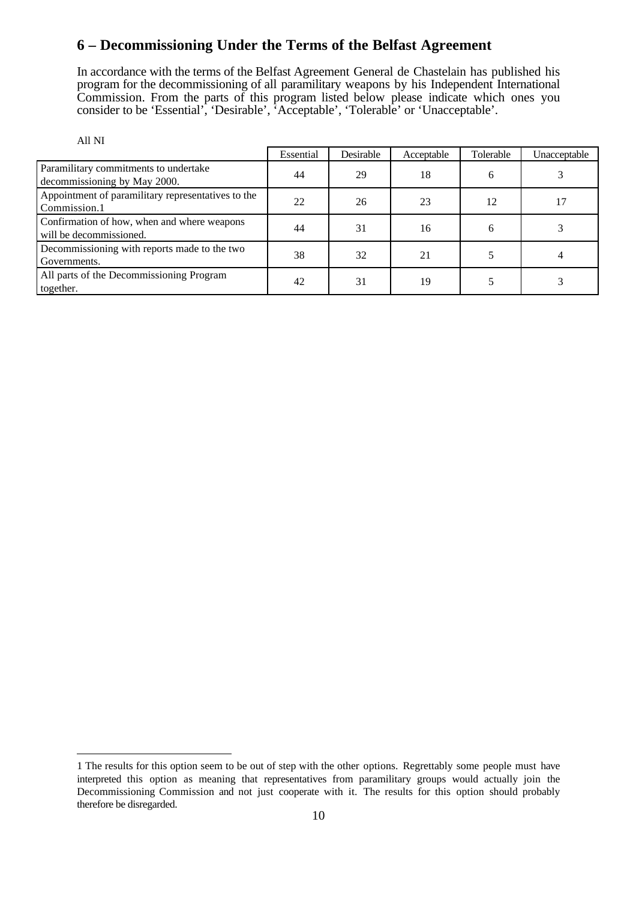#### **6 – Decommissioning Under the Terms of the Belfast Agreement**

In accordance with the terms of the Belfast Agreement General de Chastelain has published his program for the decommissioning of all paramilitary weapons by his Independent International Commission. From the parts of this program listed below please indicate which ones you consider to be 'Essential', 'Desirable', 'Acceptable', 'Tolerable' or 'Unacceptable'.

| All NI                                                                 |           |           |            |           |              |
|------------------------------------------------------------------------|-----------|-----------|------------|-----------|--------------|
|                                                                        | Essential | Desirable | Acceptable | Tolerable | Unacceptable |
| Paramilitary commitments to undertake<br>decommissioning by May 2000.  | 44        | 29        | 18         | 6         |              |
| Appointment of paramilitary representatives to the<br>Commission.1     | 22        | 26        | 23         | 12        |              |
| Confirmation of how, when and where weapons<br>will be decommissioned. | 44        | 31        | 16         | 6         |              |
| Decommissioning with reports made to the two<br>Governments.           | 38        | 32        | 21         |           |              |
| All parts of the Decommissioning Program<br>together.                  | 42        | 31        | 19         |           |              |

 $\overline{a}$ 

<sup>1</sup> The results for this option seem to be out of step with the other options. Regrettably some people must have interpreted this option as meaning that representatives from paramilitary groups would actually join the Decommissioning Commission and not just cooperate with it. The results for this option should probably therefore be disregarded.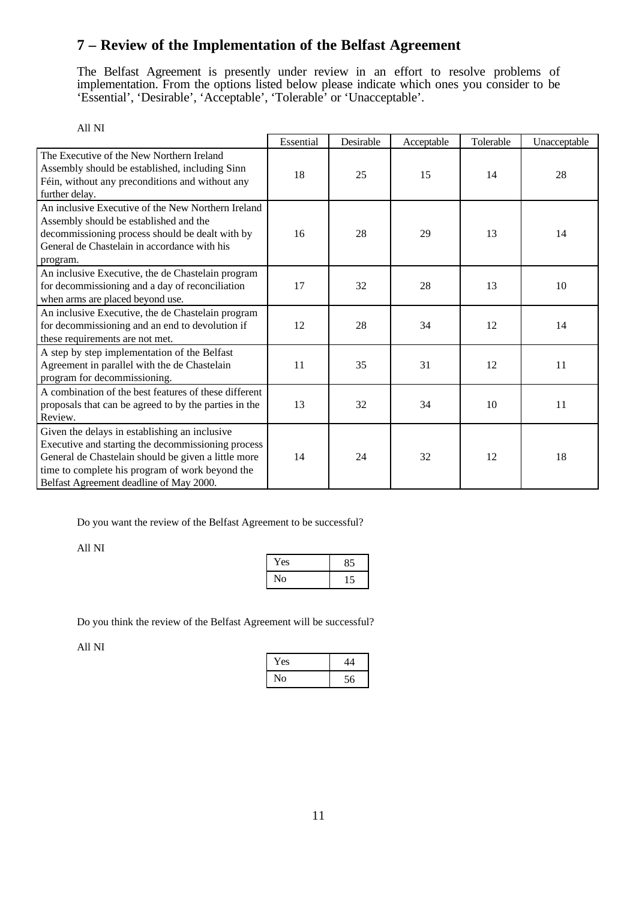# **7 – Review of the Implementation of the Belfast Agreement**

The Belfast Agreement is presently under review in an effort to resolve problems of implementation. From the options listed below please indicate which ones you consider to be 'Essential', 'Desirable', 'Acceptable', 'Tolerable' or 'Unacceptable'.

| All NI                                                                                                                                                                                                                                                   |           |           |            |           |              |
|----------------------------------------------------------------------------------------------------------------------------------------------------------------------------------------------------------------------------------------------------------|-----------|-----------|------------|-----------|--------------|
|                                                                                                                                                                                                                                                          | Essential | Desirable | Acceptable | Tolerable | Unacceptable |
| The Executive of the New Northern Ireland<br>Assembly should be established, including Sinn<br>Féin, without any preconditions and without any<br>further delay.                                                                                         | 18        | 25        | 15         | 14        | 28           |
| An inclusive Executive of the New Northern Ireland<br>Assembly should be established and the<br>decommissioning process should be dealt with by<br>General de Chastelain in accordance with his<br>program.                                              | 16        | 28        | 29         | 13        | 14           |
| An inclusive Executive, the de Chastelain program<br>for decommissioning and a day of reconciliation<br>when arms are placed beyond use.                                                                                                                 | 17        | 32        | 28         | 13        | 10           |
| An inclusive Executive, the de Chastelain program<br>for decommissioning and an end to devolution if<br>these requirements are not met.                                                                                                                  | 12        | 28        | 34         | 12        | 14           |
| A step by step implementation of the Belfast<br>Agreement in parallel with the de Chastelain<br>program for decommissioning.                                                                                                                             | 11        | 35        | 31         | 12        | 11           |
| A combination of the best features of these different<br>proposals that can be agreed to by the parties in the<br>Review.                                                                                                                                | 13        | 32        | 34         | 10        | 11           |
| Given the delays in establishing an inclusive<br>Executive and starting the decommissioning process<br>General de Chastelain should be given a little more<br>time to complete his program of work beyond the<br>Belfast Agreement deadline of May 2000. | 14        | 24        | 32         | 12        | 18           |

Do you want the review of the Belfast Agreement to be successful?

All NI

| Yes | 85 |
|-----|----|
| Ńо  |    |

Do you think the review of the Belfast Agreement will be successful?

| Yes |    |
|-----|----|
| No  | 56 |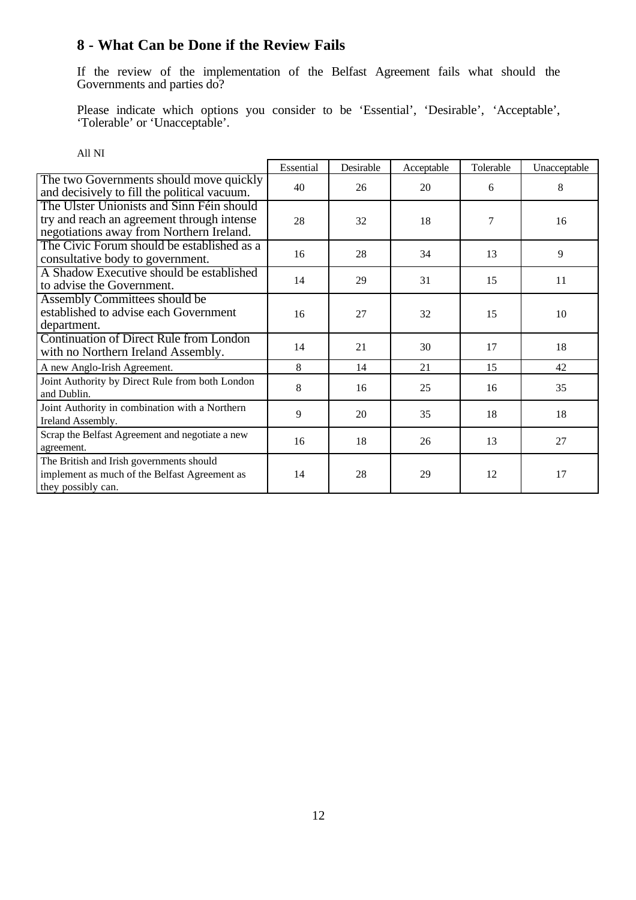### **8 - What Can be Done if the Review Fails**

If the review of the implementation of the Belfast Agreement fails what should the Governments and parties do?

Please indicate which options you consider to be 'Essential', 'Desirable', 'Acceptable', 'Tolerable' or 'Unacceptable'.

| All NI                                                                                                                              |           |           |            |           |              |
|-------------------------------------------------------------------------------------------------------------------------------------|-----------|-----------|------------|-----------|--------------|
|                                                                                                                                     | Essential | Desirable | Acceptable | Tolerable | Unacceptable |
| The two Governments should move quickly<br>and decisively to fill the political vacuum.                                             | 40        | 26        | 20         | 6         | 8            |
| The Ulster Unionists and Sinn Féin should<br>try and reach an agreement through intense<br>negotiations away from Northern Ireland. | 28        | 32        | 18         | 7         | 16           |
| The Civic Forum should be established as a<br>consultative body to government.                                                      | 16        | 28        | 34         | 13        | 9            |
| A Shadow Executive should be established<br>to advise the Government.                                                               | 14        | 29        | 31         | 15        | 11           |
| Assembly Committees should be<br>established to advise each Government<br>department.                                               | 16        | 27        | 32         | 15        | 10           |
| <b>Continuation of Direct Rule from London</b><br>with no Northern Ireland Assembly.                                                | 14        | 21        | 30         | 17        | 18           |
| A new Anglo-Irish Agreement.                                                                                                        | 8         | 14        | 21         | 15        | 42           |
| Joint Authority by Direct Rule from both London<br>and Dublin.                                                                      | 8         | 16        | 25         | 16        | 35           |
| Joint Authority in combination with a Northern<br>Ireland Assembly.                                                                 | 9         | 20        | 35         | 18        | 18           |
| Scrap the Belfast Agreement and negotiate a new<br>agreement.                                                                       | 16        | 18        | 26         | 13        | 27           |
| The British and Irish governments should<br>implement as much of the Belfast Agreement as<br>they possibly can.                     | 14        | 28        | 29         | 12        | 17           |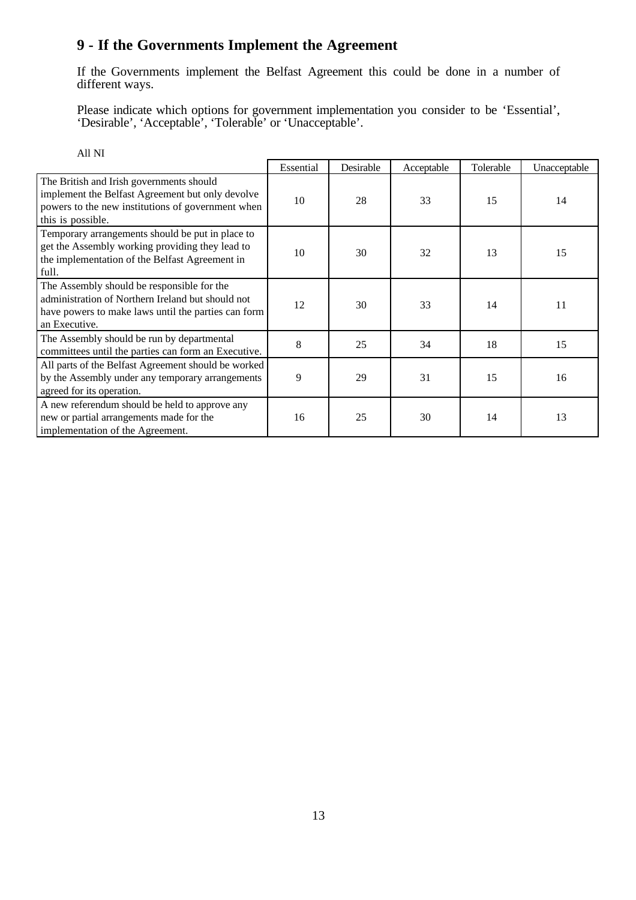# **9 - If the Governments Implement the Agreement**

If the Governments implement the Belfast Agreement this could be done in a number of different ways.

Please indicate which options for government implementation you consider to be 'Essential', 'Desirable', 'Acceptable', 'Tolerable' or 'Unacceptable'.

| All NI                                                                                                                                                                  |           |           |            |           |              |
|-------------------------------------------------------------------------------------------------------------------------------------------------------------------------|-----------|-----------|------------|-----------|--------------|
|                                                                                                                                                                         | Essential | Desirable | Acceptable | Tolerable | Unacceptable |
| The British and Irish governments should<br>implement the Belfast Agreement but only devolve<br>powers to the new institutions of government when<br>this is possible.  | 10        | 28        | 33         | 15        | 14           |
| Temporary arrangements should be put in place to<br>get the Assembly working providing they lead to<br>the implementation of the Belfast Agreement in<br>full.          | 10        | 30        | 32         | 13        | 15           |
| The Assembly should be responsible for the<br>administration of Northern Ireland but should not<br>have powers to make laws until the parties can form<br>an Executive. | 12        | 30        | 33         | 14        | 11           |
| The Assembly should be run by departmental<br>committees until the parties can form an Executive.                                                                       | 8         | 25        | 34         | 18        | 15           |
| All parts of the Belfast Agreement should be worked<br>by the Assembly under any temporary arrangements<br>agreed for its operation.                                    | 9         | 29        | 31         | 15        | 16           |
| A new referendum should be held to approve any<br>new or partial arrangements made for the<br>implementation of the Agreement.                                          | 16        | 25        | 30         | 14        | 13           |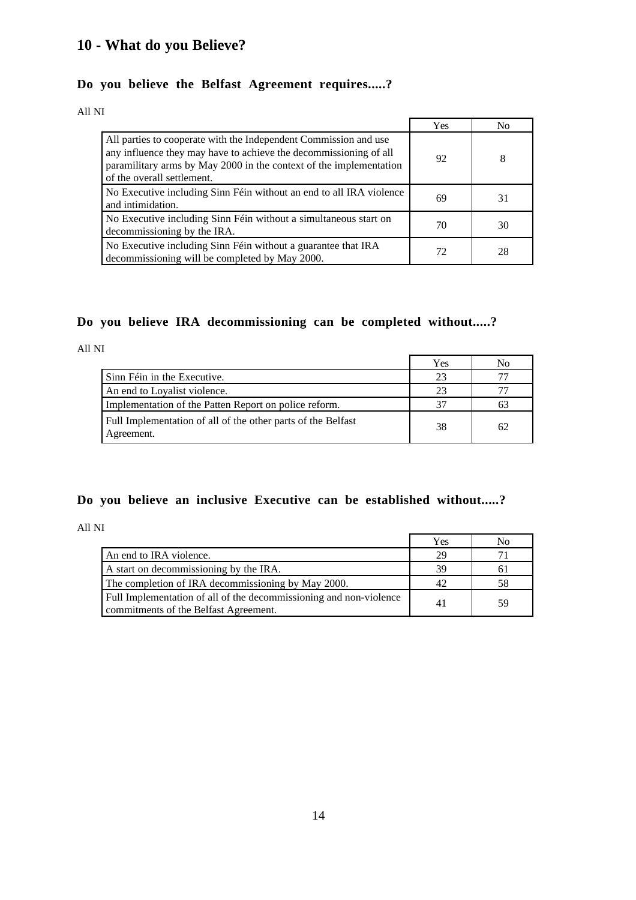# **10 - What do you Believe?**

## **Do you believe the Belfast Agreement requires.....?**

All NI

|                                                                                                                                                                                                                                           | Yes | No |
|-------------------------------------------------------------------------------------------------------------------------------------------------------------------------------------------------------------------------------------------|-----|----|
| All parties to cooperate with the Independent Commission and use<br>any influence they may have to achieve the decommissioning of all<br>paramilitary arms by May 2000 in the context of the implementation<br>of the overall settlement. | 92  | 8  |
| No Executive including Sinn Féin without an end to all IRA violence<br>and intimidation.                                                                                                                                                  | 69  | 31 |
| No Executive including Sinn Féin without a simultaneous start on<br>decommissioning by the IRA.                                                                                                                                           | 70  | 30 |
| No Executive including Sinn Féin without a guarantee that IRA<br>decommissioning will be completed by May 2000.                                                                                                                           | 72  | 28 |

#### **Do you believe IRA decommissioning can be completed without.....?**

All NI

|                                                                            | Yes | No |
|----------------------------------------------------------------------------|-----|----|
| Sinn Féin in the Executive.                                                | 23  |    |
| An end to Loyalist violence.                                               | 23  |    |
| Implementation of the Patten Report on police reform.                      | 37  |    |
| Full Implementation of all of the other parts of the Belfast<br>Agreement. | 38  | 62 |

#### **Do you believe an inclusive Executive can be established without.....?**

All NI

|                                                                                                             | Yes | No  |
|-------------------------------------------------------------------------------------------------------------|-----|-----|
| An end to IRA violence.                                                                                     | 29  |     |
| A start on decommissioning by the IRA.                                                                      | 39  | 6 I |
| The completion of IRA decommissioning by May 2000.                                                          | 42  | 58  |
| Full Implementation of all of the decommissioning and non-violence<br>commitments of the Belfast Agreement. | 41  | 59  |